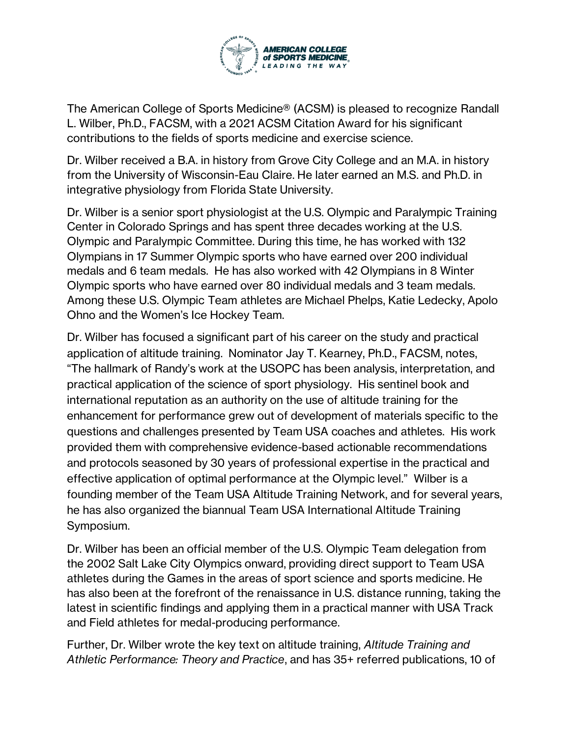

The American College of Sports Medicine® (ACSM) is pleased to recognize Randall L. Wilber, Ph.D., FACSM, with a 2021 ACSM Citation Award for his significant contributions to the fields of sports medicine and exercise science.

Dr. Wilber received a B.A. in history from Grove City College and an M.A. in history from the University of Wisconsin-Eau Claire. He later earned an M.S. and Ph.D. in integrative physiology from Florida State University.

Dr. Wilber is a senior sport physiologist at the U.S. Olympic and Paralympic Training Center in Colorado Springs and has spent three decades working at the U.S. Olympic and Paralympic Committee. During this time, he has worked with 132 Olympians in 17 Summer Olympic sports who have earned over 200 individual medals and 6 team medals. He has also worked with 42 Olympians in 8 Winter Olympic sports who have earned over 80 individual medals and 3 team medals. Among these U.S. Olympic Team athletes are Michael Phelps, Katie Ledecky, Apolo Ohno and the Women's Ice Hockey Team.

Dr. Wilber has focused a significant part of his career on the study and practical application of altitude training. Nominator Jay T. Kearney, Ph.D., FACSM, notes, "The hallmark of Randy's work at the USOPC has been analysis, interpretation, and practical application of the science of sport physiology. His sentinel book and international reputation as an authority on the use of altitude training for the enhancement for performance grew out of development of materials specific to the questions and challenges presented by Team USA coaches and athletes. His work provided them with comprehensive evidence-based actionable recommendations and protocols seasoned by 30 years of professional expertise in the practical and effective application of optimal performance at the Olympic level." Wilber is a founding member of the Team USA Altitude Training Network, and for several years, he has also organized the biannual Team USA International Altitude Training Symposium.

Dr. Wilber has been an official member of the U.S. Olympic Team delegation from the 2002 Salt Lake City Olympics onward, providing direct support to Team USA athletes during the Games in the areas of sport science and sports medicine. He has also been at the forefront of the renaissance in U.S. distance running, taking the latest in scientific findings and applying them in a practical manner with USA Track and Field athletes for medal-producing performance.

Further, Dr. Wilber wrote the key text on altitude training, *Altitude Training and Athletic Performance: Theory and Practice*, and has 35+ referred publications, 10 of